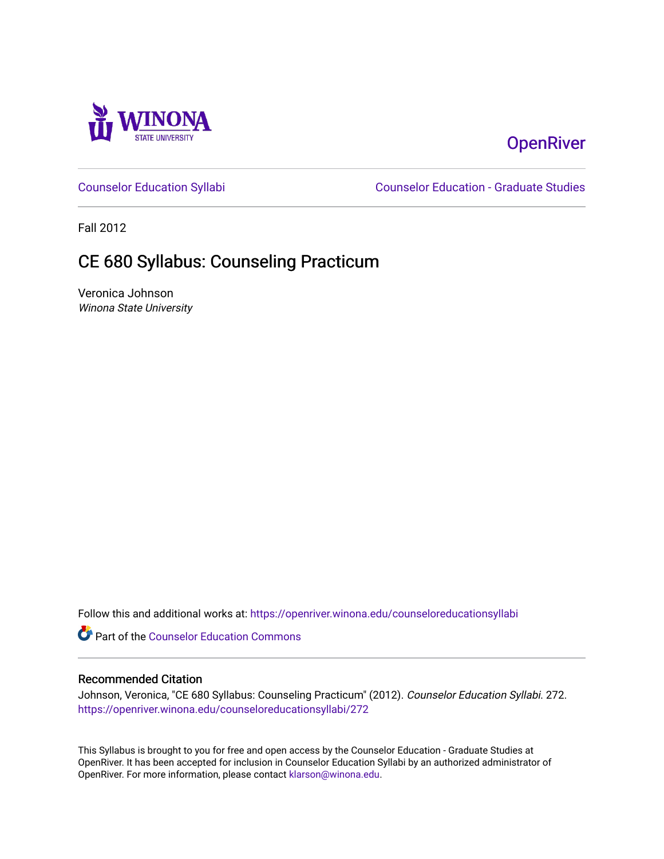

# **OpenRiver**

[Counselor Education Syllabi](https://openriver.winona.edu/counseloreducationsyllabi) [Counselor Education - Graduate Studies](https://openriver.winona.edu/counseloreducation) 

Fall 2012

# CE 680 Syllabus: Counseling Practicum

Veronica Johnson Winona State University

Follow this and additional works at: [https://openriver.winona.edu/counseloreducationsyllabi](https://openriver.winona.edu/counseloreducationsyllabi?utm_source=openriver.winona.edu%2Fcounseloreducationsyllabi%2F272&utm_medium=PDF&utm_campaign=PDFCoverPages)

Part of the [Counselor Education Commons](http://network.bepress.com/hgg/discipline/1278?utm_source=openriver.winona.edu%2Fcounseloreducationsyllabi%2F272&utm_medium=PDF&utm_campaign=PDFCoverPages) 

#### Recommended Citation

Johnson, Veronica, "CE 680 Syllabus: Counseling Practicum" (2012). Counselor Education Syllabi. 272. [https://openriver.winona.edu/counseloreducationsyllabi/272](https://openriver.winona.edu/counseloreducationsyllabi/272?utm_source=openriver.winona.edu%2Fcounseloreducationsyllabi%2F272&utm_medium=PDF&utm_campaign=PDFCoverPages)

This Syllabus is brought to you for free and open access by the Counselor Education - Graduate Studies at OpenRiver. It has been accepted for inclusion in Counselor Education Syllabi by an authorized administrator of OpenRiver. For more information, please contact [klarson@winona.edu](mailto:klarson@winona.edu).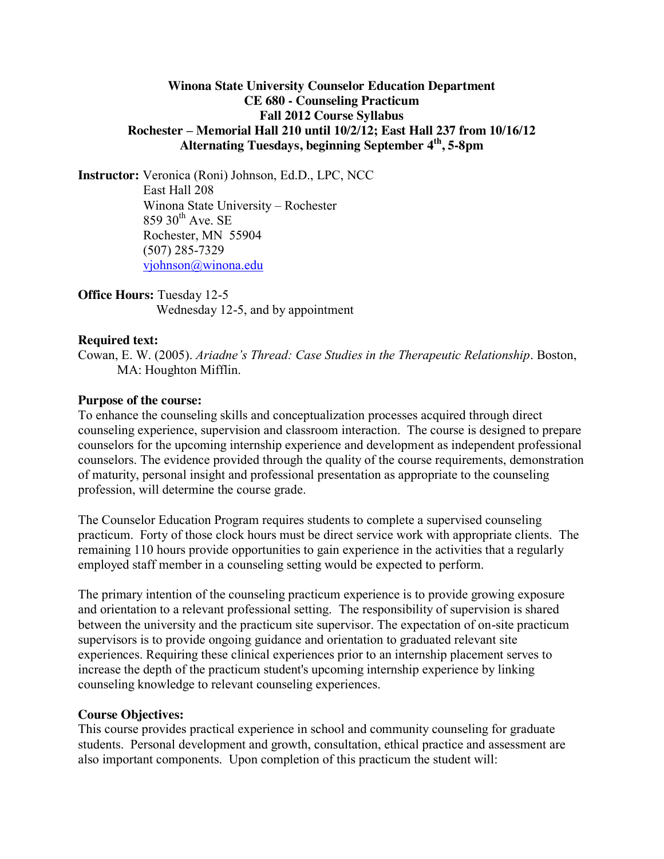### **Winona State University Counselor Education Department CE 680 - Counseling Practicum Fall 2012 Course Syllabus Rochester – Memorial Hall 210 until 10/2/12; East Hall 237 from 10/16/12 Alternating Tuesdays, beginning September 4th, 5-8pm**

**Instructor:** Veronica (Roni) Johnson, Ed.D., LPC, NCC East Hall 208 Winona State University – Rochester  $859$  30<sup>th</sup> Ave. SE Rochester, MN 55904 (507) 285-7329 [vjohnson@winona.edu](mailto:vjohnson@winona.edu)

**Office Hours:** Tuesday 12-5 Wednesday 12-5, and by appointment

### **Required text:**

Cowan, E. W. (2005). *Ariadne's Thread: Case Studies in the Therapeutic Relationship*. Boston, MA: Houghton Mifflin.

#### **Purpose of the course:**

To enhance the counseling skills and conceptualization processes acquired through direct counseling experience, supervision and classroom interaction. The course is designed to prepare counselors for the upcoming internship experience and development as independent professional counselors. The evidence provided through the quality of the course requirements, demonstration of maturity, personal insight and professional presentation as appropriate to the counseling profession, will determine the course grade.

The Counselor Education Program requires students to complete a supervised counseling practicum. Forty of those clock hours must be direct service work with appropriate clients. The remaining 110 hours provide opportunities to gain experience in the activities that a regularly employed staff member in a counseling setting would be expected to perform.

The primary intention of the counseling practicum experience is to provide growing exposure and orientation to a relevant professional setting. The responsibility of supervision is shared between the university and the practicum site supervisor. The expectation of on-site practicum supervisors is to provide ongoing guidance and orientation to graduated relevant site experiences. Requiring these clinical experiences prior to an internship placement serves to increase the depth of the practicum student's upcoming internship experience by linking counseling knowledge to relevant counseling experiences.

#### **Course Objectives:**

This course provides practical experience in school and community counseling for graduate students. Personal development and growth, consultation, ethical practice and assessment are also important components. Upon completion of this practicum the student will: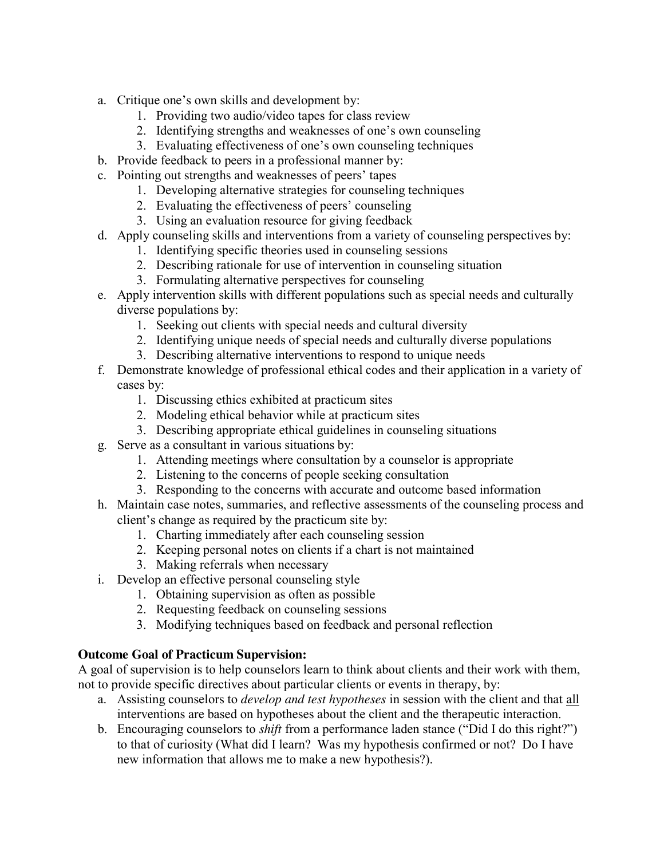- a. Critique one's own skills and development by:
	- 1. Providing two audio/video tapes for class review
	- 2. Identifying strengths and weaknesses of one's own counseling
	- 3. Evaluating effectiveness of one's own counseling techniques
- b. Provide feedback to peers in a professional manner by:
- c. Pointing out strengths and weaknesses of peers' tapes
	- 1. Developing alternative strategies for counseling techniques
	- 2. Evaluating the effectiveness of peers' counseling
	- 3. Using an evaluation resource for giving feedback
- d. Apply counseling skills and interventions from a variety of counseling perspectives by:
	- 1. Identifying specific theories used in counseling sessions
	- 2. Describing rationale for use of intervention in counseling situation
	- 3. Formulating alternative perspectives for counseling
- e. Apply intervention skills with different populations such as special needs and culturally diverse populations by:
	- 1. Seeking out clients with special needs and cultural diversity
	- 2. Identifying unique needs of special needs and culturally diverse populations
	- 3. Describing alternative interventions to respond to unique needs
- f. Demonstrate knowledge of professional ethical codes and their application in a variety of cases by:
	- 1. Discussing ethics exhibited at practicum sites
	- 2. Modeling ethical behavior while at practicum sites
	- 3. Describing appropriate ethical guidelines in counseling situations
- g. Serve as a consultant in various situations by:
	- 1. Attending meetings where consultation by a counselor is appropriate
	- 2. Listening to the concerns of people seeking consultation
	- 3. Responding to the concerns with accurate and outcome based information
- h. Maintain case notes, summaries, and reflective assessments of the counseling process and client's change as required by the practicum site by:
	- 1. Charting immediately after each counseling session
	- 2. Keeping personal notes on clients if a chart is not maintained
	- 3. Making referrals when necessary
- i. Develop an effective personal counseling style
	- 1. Obtaining supervision as often as possible
	- 2. Requesting feedback on counseling sessions
	- 3. Modifying techniques based on feedback and personal reflection

## **Outcome Goal of Practicum Supervision:**

A goal of supervision is to help counselors learn to think about clients and their work with them, not to provide specific directives about particular clients or events in therapy, by:

- a. Assisting counselors to *develop and test hypotheses* in session with the client and that all interventions are based on hypotheses about the client and the therapeutic interaction.
- b. Encouraging counselors to *shift* from a performance laden stance ("Did I do this right?") to that of curiosity (What did I learn? Was my hypothesis confirmed or not? Do I have new information that allows me to make a new hypothesis?).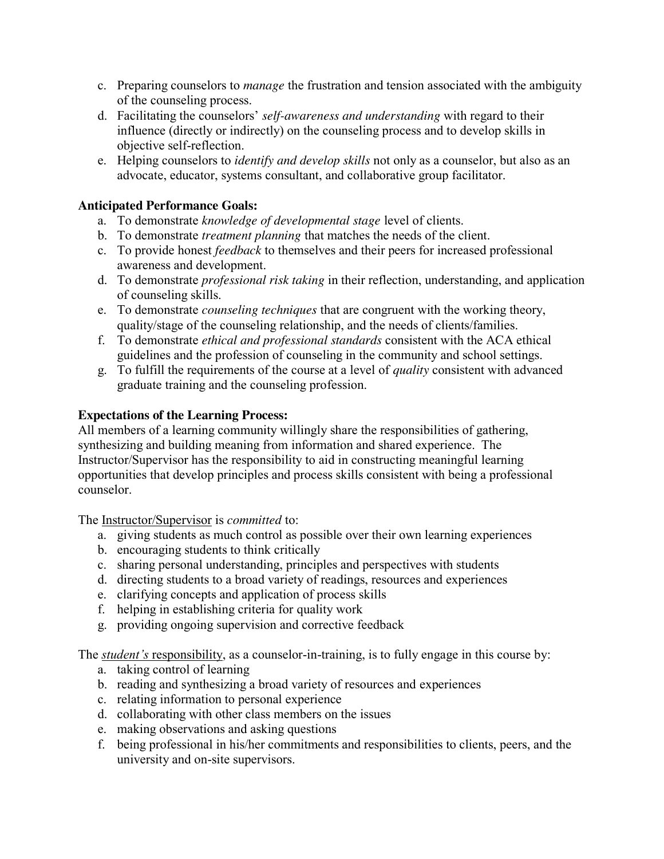- c. Preparing counselors to *manage* the frustration and tension associated with the ambiguity of the counseling process.
- d. Facilitating the counselors' *self-awareness and understanding* with regard to their influence (directly or indirectly) on the counseling process and to develop skills in objective self-reflection.
- e. Helping counselors to *identify and develop skills* not only as a counselor, but also as an advocate, educator, systems consultant, and collaborative group facilitator.

# **Anticipated Performance Goals:**

- a. To demonstrate *knowledge of developmental stage* level of clients.
- b. To demonstrate *treatment planning* that matches the needs of the client.
- c. To provide honest *feedback* to themselves and their peers for increased professional awareness and development.
- d. To demonstrate *professional risk taking* in their reflection, understanding, and application of counseling skills.
- e. To demonstrate *counseling techniques* that are congruent with the working theory, quality/stage of the counseling relationship, and the needs of clients/families.
- f. To demonstrate *ethical and professional standards* consistent with the ACA ethical guidelines and the profession of counseling in the community and school settings.
- g. To fulfill the requirements of the course at a level of *quality* consistent with advanced graduate training and the counseling profession.

# **Expectations of the Learning Process:**

All members of a learning community willingly share the responsibilities of gathering, synthesizing and building meaning from information and shared experience. The Instructor/Supervisor has the responsibility to aid in constructing meaningful learning opportunities that develop principles and process skills consistent with being a professional counselor.

The Instructor/Supervisor is *committed* to:

- a. giving students as much control as possible over their own learning experiences
- b. encouraging students to think critically
- c. sharing personal understanding, principles and perspectives with students
- d. directing students to a broad variety of readings, resources and experiences
- e. clarifying concepts and application of process skills
- f. helping in establishing criteria for quality work
- g. providing ongoing supervision and corrective feedback

The *student's* responsibility, as a counselor-in-training, is to fully engage in this course by:

- a. taking control of learning
- b. reading and synthesizing a broad variety of resources and experiences
- c. relating information to personal experience
- d. collaborating with other class members on the issues
- e. making observations and asking questions
- f. being professional in his/her commitments and responsibilities to clients, peers, and the university and on-site supervisors.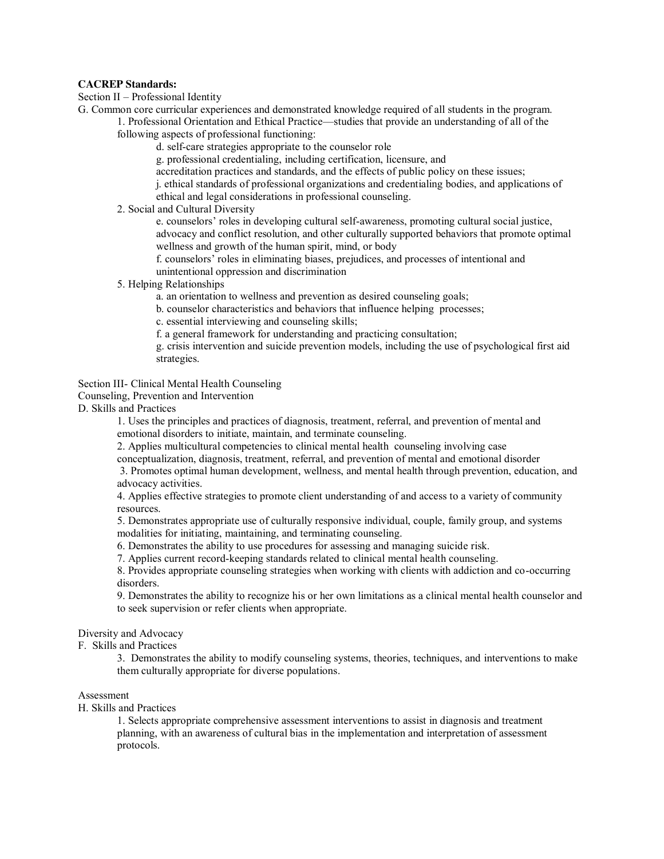#### **CACREP Standards:**

Section II – Professional Identity

G. Common core curricular experiences and demonstrated knowledge required of all students in the program.

1. Professional Orientation and Ethical Practice—studies that provide an understanding of all of the following aspects of professional functioning:

d. self-care strategies appropriate to the counselor role

g. professional credentialing, including certification, licensure, and

accreditation practices and standards, and the effects of public policy on these issues;

j. ethical standards of professional organizations and credentialing bodies, and applications of ethical and legal considerations in professional counseling.

2. Social and Cultural Diversity

e. counselors' roles in developing cultural self-awareness, promoting cultural social justice, advocacy and conflict resolution, and other culturally supported behaviors that promote optimal wellness and growth of the human spirit, mind, or body

f. counselors' roles in eliminating biases, prejudices, and processes of intentional and unintentional oppression and discrimination

5. Helping Relationships

a. an orientation to wellness and prevention as desired counseling goals;

b. counselor characteristics and behaviors that influence helping processes;

c. essential interviewing and counseling skills;

f. a general framework for understanding and practicing consultation;

g. crisis intervention and suicide prevention models, including the use of psychological first aid strategies.

Section III- Clinical Mental Health Counseling

Counseling, Prevention and Intervention

D. Skills and Practices

1. Uses the principles and practices of diagnosis, treatment, referral, and prevention of mental and emotional disorders to initiate, maintain, and terminate counseling.

2. Applies multicultural competencies to clinical mental health counseling involving case

conceptualization, diagnosis, treatment, referral, and prevention of mental and emotional disorder

 3. Promotes optimal human development, wellness, and mental health through prevention, education, and advocacy activities.

 4. Applies effective strategies to promote client understanding of and access to a variety of community resources.

5. Demonstrates appropriate use of culturally responsive individual, couple, family group, and systems modalities for initiating, maintaining, and terminating counseling.

6. Demonstrates the ability to use procedures for assessing and managing suicide risk.

7. Applies current record-keeping standards related to clinical mental health counseling.

8. Provides appropriate counseling strategies when working with clients with addiction and co-occurring disorders.

9. Demonstrates the ability to recognize his or her own limitations as a clinical mental health counselor and to seek supervision or refer clients when appropriate.

#### Diversity and Advocacy

F. Skills and Practices

3. Demonstrates the ability to modify counseling systems, theories, techniques, and interventions to make them culturally appropriate for diverse populations.

#### Assessment

H. Skills and Practices

1. Selects appropriate comprehensive assessment interventions to assist in diagnosis and treatment planning, with an awareness of cultural bias in the implementation and interpretation of assessment protocols.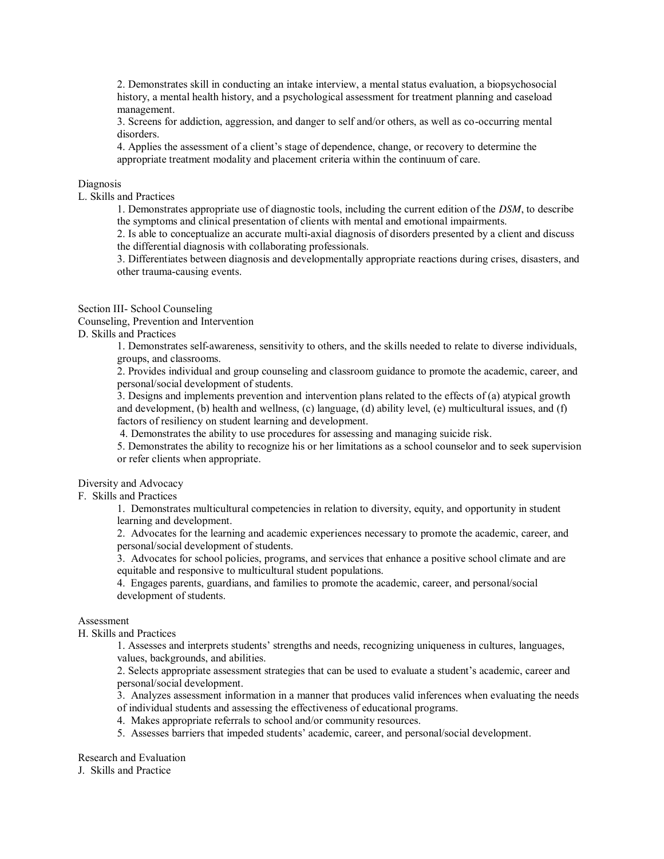2. Demonstrates skill in conducting an intake interview, a mental status evaluation, a biopsychosocial history, a mental health history, and a psychological assessment for treatment planning and caseload management.

3. Screens for addiction, aggression, and danger to self and/or others, as well as co-occurring mental disorders.

4. Applies the assessment of a client's stage of dependence, change, or recovery to determine the appropriate treatment modality and placement criteria within the continuum of care.

#### Diagnosis

L. Skills and Practices

1. Demonstrates appropriate use of diagnostic tools, including the current edition of the *DSM*, to describe the symptoms and clinical presentation of clients with mental and emotional impairments.

2. Is able to conceptualize an accurate multi-axial diagnosis of disorders presented by a client and discuss the differential diagnosis with collaborating professionals.

3. Differentiates between diagnosis and developmentally appropriate reactions during crises, disasters, and other trauma-causing events.

#### Section III- School Counseling

Counseling, Prevention and Intervention

D. Skills and Practices

1. Demonstrates self-awareness, sensitivity to others, and the skills needed to relate to diverse individuals, groups, and classrooms.

2. Provides individual and group counseling and classroom guidance to promote the academic, career, and personal/social development of students.

3. Designs and implements prevention and intervention plans related to the effects of (a) atypical growth and development, (b) health and wellness, (c) language, (d) ability level, (e) multicultural issues, and (f) factors of resiliency on student learning and development.

4. Demonstrates the ability to use procedures for assessing and managing suicide risk.

5. Demonstrates the ability to recognize his or her limitations as a school counselor and to seek supervision or refer clients when appropriate.

#### Diversity and Advocacy

F. Skills and Practices

1. Demonstrates multicultural competencies in relation to diversity, equity, and opportunity in student learning and development.

2. Advocates for the learning and academic experiences necessary to promote the academic, career, and personal/social development of students.

3. Advocates for school policies, programs, and services that enhance a positive school climate and are equitable and responsive to multicultural student populations.

4. Engages parents, guardians, and families to promote the academic, career, and personal/social development of students.

#### Assessment

H. Skills and Practices

1. Assesses and interprets students' strengths and needs, recognizing uniqueness in cultures, languages, values, backgrounds, and abilities.

2. Selects appropriate assessment strategies that can be used to evaluate a student's academic, career and personal/social development.

3. Analyzes assessment information in a manner that produces valid inferences when evaluating the needs of individual students and assessing the effectiveness of educational programs.

- 4. Makes appropriate referrals to school and/or community resources.
- 5. Assesses barriers that impeded students' academic, career, and personal/social development.

Research and Evaluation

J. Skills and Practice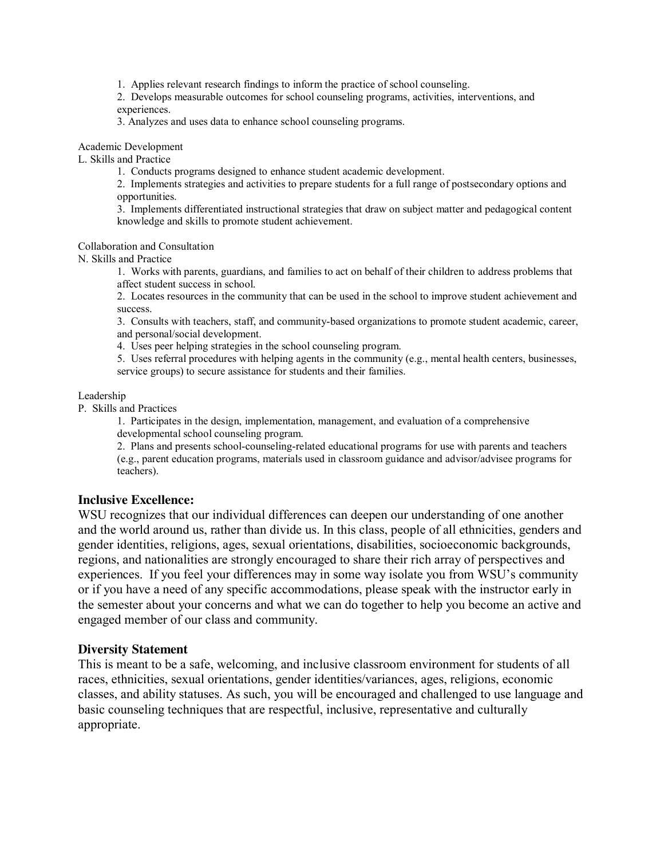1. Applies relevant research findings to inform the practice of school counseling.

2. Develops measurable outcomes for school counseling programs, activities, interventions, and experiences.

3. Analyzes and uses data to enhance school counseling programs.

Academic Development

L. Skills and Practice

1. Conducts programs designed to enhance student academic development.

2. Implements strategies and activities to prepare students for a full range of postsecondary options and opportunities.

3. Implements differentiated instructional strategies that draw on subject matter and pedagogical content knowledge and skills to promote student achievement.

Collaboration and Consultation

N. Skills and Practice

1. Works with parents, guardians, and families to act on behalf of their children to address problems that affect student success in school.

2. Locates resources in the community that can be used in the school to improve student achievement and success.

3. Consults with teachers, staff, and community-based organizations to promote student academic, career, and personal/social development.

4. Uses peer helping strategies in the school counseling program.

5. Uses referral procedures with helping agents in the community (e.g., mental health centers, businesses, service groups) to secure assistance for students and their families.

#### Leadership

P. Skills and Practices

1. Participates in the design, implementation, management, and evaluation of a comprehensive developmental school counseling program.

2. Plans and presents school-counseling-related educational programs for use with parents and teachers (e.g., parent education programs, materials used in classroom guidance and advisor/advisee programs for teachers).

#### **Inclusive Excellence:**

WSU recognizes that our individual differences can deepen our understanding of one another and the world around us, rather than divide us. In this class, people of all ethnicities, genders and gender identities, religions, ages, sexual orientations, disabilities, socioeconomic backgrounds, regions, and nationalities are strongly encouraged to share their rich array of perspectives and experiences. If you feel your differences may in some way isolate you from WSU's community or if you have a need of any specific accommodations, please speak with the instructor early in the semester about your concerns and what we can do together to help you become an active and engaged member of our class and community.

#### **Diversity Statement**

This is meant to be a safe, welcoming, and inclusive classroom environment for students of all races, ethnicities, sexual orientations, gender identities/variances, ages, religions, economic classes, and ability statuses. As such, you will be encouraged and challenged to use language and basic counseling techniques that are respectful, inclusive, representative and culturally appropriate.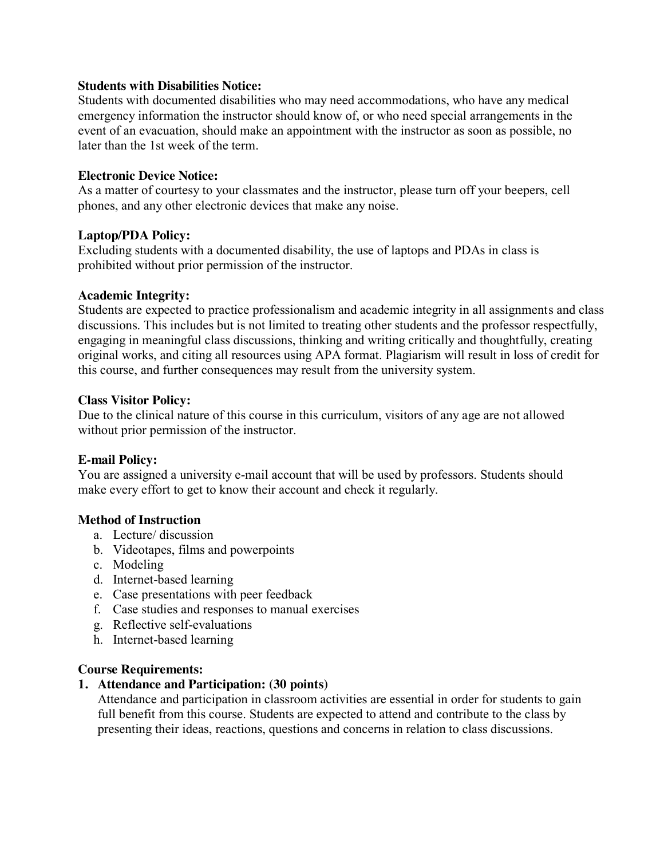### **Students with Disabilities Notice:**

Students with documented disabilities who may need accommodations, who have any medical emergency information the instructor should know of, or who need special arrangements in the event of an evacuation, should make an appointment with the instructor as soon as possible, no later than the 1st week of the term.

#### **Electronic Device Notice:**

As a matter of courtesy to your classmates and the instructor, please turn off your beepers, cell phones, and any other electronic devices that make any noise.

#### **Laptop/PDA Policy:**

Excluding students with a documented disability, the use of laptops and PDAs in class is prohibited without prior permission of the instructor.

#### **Academic Integrity:**

Students are expected to practice professionalism and academic integrity in all assignments and class discussions. This includes but is not limited to treating other students and the professor respectfully, engaging in meaningful class discussions, thinking and writing critically and thoughtfully, creating original works, and citing all resources using APA format. Plagiarism will result in loss of credit for this course, and further consequences may result from the university system.

#### **Class Visitor Policy:**

Due to the clinical nature of this course in this curriculum, visitors of any age are not allowed without prior permission of the instructor.

### **E-mail Policy:**

You are assigned a university e-mail account that will be used by professors. Students should make every effort to get to know their account and check it regularly.

### **Method of Instruction**

- a. Lecture/ discussion
- b. Videotapes, films and powerpoints
- c. Modeling
- d. Internet-based learning
- e. Case presentations with peer feedback
- f. Case studies and responses to manual exercises
- g. Reflective self-evaluations
- h. Internet-based learning

#### **Course Requirements:**

### **1. Attendance and Participation: (30 points)**

Attendance and participation in classroom activities are essential in order for students to gain full benefit from this course. Students are expected to attend and contribute to the class by presenting their ideas, reactions, questions and concerns in relation to class discussions.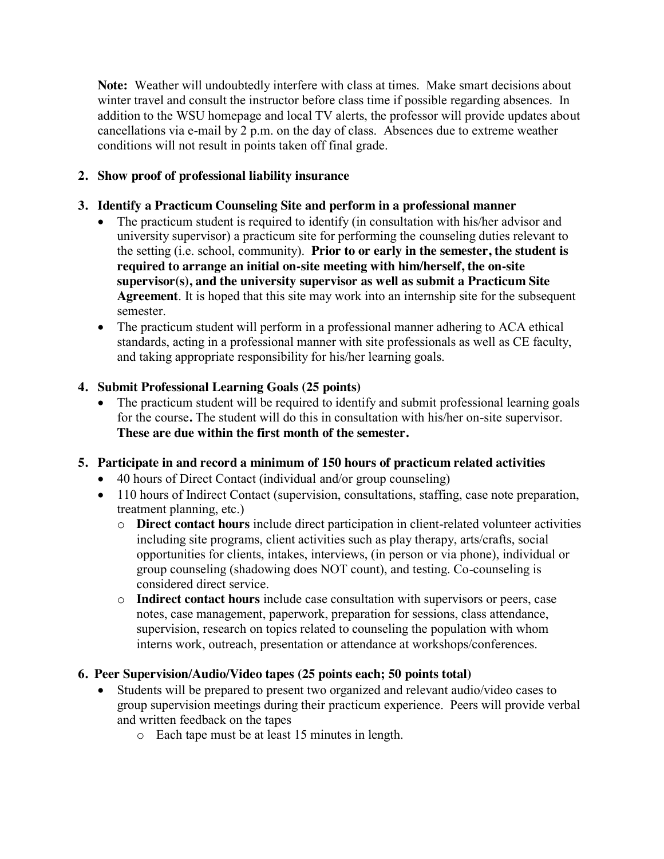**Note:** Weather will undoubtedly interfere with class at times. Make smart decisions about winter travel and consult the instructor before class time if possible regarding absences. In addition to the WSU homepage and local TV alerts, the professor will provide updates about cancellations via e-mail by 2 p.m. on the day of class. Absences due to extreme weather conditions will not result in points taken off final grade.

# **2. Show proof of professional liability insurance**

# **3. Identify a Practicum Counseling Site and perform in a professional manner**

- The practicum student is required to identify (in consultation with his/her advisor and university supervisor) a practicum site for performing the counseling duties relevant to the setting (i.e. school, community). **Prior to or early in the semester, the student is required to arrange an initial on-site meeting with him/herself, the on-site supervisor(s), and the university supervisor as well as submit a Practicum Site Agreement**. It is hoped that this site may work into an internship site for the subsequent semester.
- The practicum student will perform in a professional manner adhering to ACA ethical standards, acting in a professional manner with site professionals as well as CE faculty, and taking appropriate responsibility for his/her learning goals.

## **4. Submit Professional Learning Goals (25 points)**

 The practicum student will be required to identify and submit professional learning goals for the course**.** The student will do this in consultation with his/her on-site supervisor. **These are due within the first month of the semester.**

## **5. Participate in and record a minimum of 150 hours of practicum related activities**

- 40 hours of Direct Contact (individual and/or group counseling)
- 110 hours of Indirect Contact (supervision, consultations, staffing, case note preparation, treatment planning, etc.)
	- o **Direct contact hours** include direct participation in client-related volunteer activities including site programs, client activities such as play therapy, arts/crafts, social opportunities for clients, intakes, interviews, (in person or via phone), individual or group counseling (shadowing does NOT count), and testing. Co-counseling is considered direct service.
	- o **Indirect contact hours** include case consultation with supervisors or peers, case notes, case management, paperwork, preparation for sessions, class attendance, supervision, research on topics related to counseling the population with whom interns work, outreach, presentation or attendance at workshops/conferences.

## **6. Peer Supervision/Audio/Video tapes (25 points each; 50 points total)**

- Students will be prepared to present two organized and relevant audio/video cases to group supervision meetings during their practicum experience. Peers will provide verbal and written feedback on the tapes
	- o Each tape must be at least 15 minutes in length.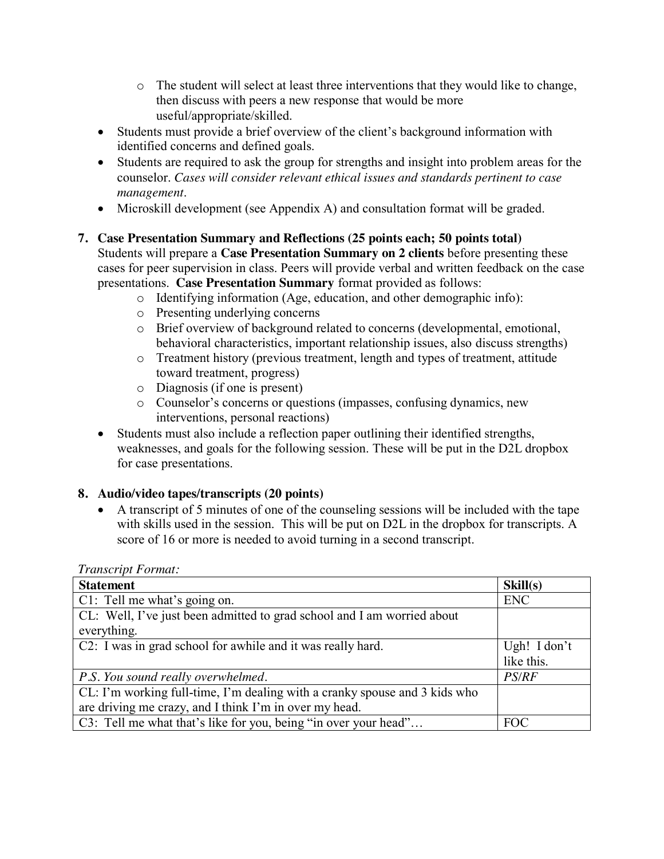- $\circ$  The student will select at least three interventions that they would like to change, then discuss with peers a new response that would be more useful/appropriate/skilled.
- Students must provide a brief overview of the client's background information with identified concerns and defined goals.
- Students are required to ask the group for strengths and insight into problem areas for the counselor. *Cases will consider relevant ethical issues and standards pertinent to case management*.
- Microskill development (see Appendix A) and consultation format will be graded.

# **7. Case Presentation Summary and Reflections (25 points each; 50 points total)**

Students will prepare a **Case Presentation Summary on 2 clients** before presenting these cases for peer supervision in class. Peers will provide verbal and written feedback on the case presentations. **Case Presentation Summary** format provided as follows:

- o Identifying information (Age, education, and other demographic info):
- o Presenting underlying concerns
- o Brief overview of background related to concerns (developmental, emotional, behavioral characteristics, important relationship issues, also discuss strengths)
- o Treatment history (previous treatment, length and types of treatment, attitude toward treatment, progress)
- o Diagnosis (if one is present)
- o Counselor's concerns or questions (impasses, confusing dynamics, new interventions, personal reactions)
- Students must also include a reflection paper outlining their identified strengths, weaknesses, and goals for the following session. These will be put in the D2L dropbox for case presentations.

# **8. Audio/video tapes/transcripts (20 points)**

 A transcript of 5 minutes of one of the counseling sessions will be included with the tape with skills used in the session. This will be put on D2L in the dropbox for transcripts. A score of 16 or more is needed to avoid turning in a second transcript.

| <b>Statement</b>                                                           | Skill(s)     |
|----------------------------------------------------------------------------|--------------|
| C1: Tell me what's going on.                                               | <b>ENC</b>   |
| CL: Well, I've just been admitted to grad school and I am worried about    |              |
| everything.                                                                |              |
| C2: I was in grad school for awhile and it was really hard.                | Ugh! I don't |
|                                                                            | like this.   |
| P.S. You sound really overwhelmed.                                         | <b>PS/RF</b> |
| CL: I'm working full-time, I'm dealing with a cranky spouse and 3 kids who |              |
| are driving me crazy, and I think I'm in over my head.                     |              |
| C3: Tell me what that's like for you, being "in over your head"            | <b>FOC</b>   |

*Transcript Format:*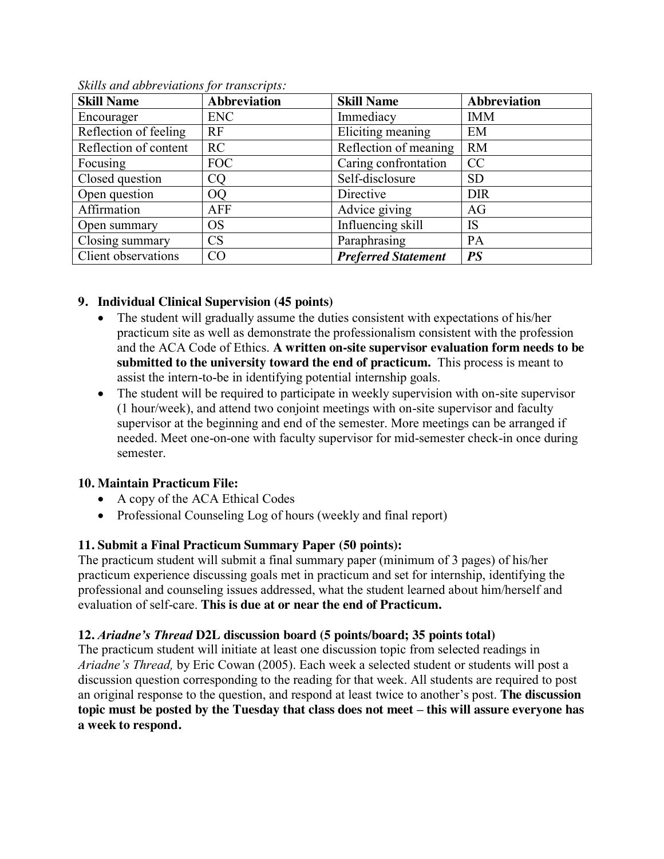| <b>Skill Name</b>     | <b>Abbreviation</b> | <b>Skill Name</b>          | <b>Abbreviation</b> |
|-----------------------|---------------------|----------------------------|---------------------|
| Encourager            | <b>ENC</b>          | Immediacy                  | <b>IMM</b>          |
| Reflection of feeling | RF                  | Eliciting meaning          | EM                  |
| Reflection of content | RC                  | Reflection of meaning      | <b>RM</b>           |
| Focusing              | <b>FOC</b>          | Caring confrontation       | <b>CC</b>           |
| Closed question       | <b>CO</b>           | Self-disclosure            | <b>SD</b>           |
| Open question         | <sub>O</sub> O      | Directive                  | <b>DIR</b>          |
| Affirmation           | AFF                 | Advice giving              | AG                  |
| Open summary          | <b>OS</b>           | Influencing skill          | IS                  |
| Closing summary       | <b>CS</b>           | Paraphrasing               | PA                  |
| Client observations   | CO                  | <b>Preferred Statement</b> | <b>PS</b>           |

*Skills and abbreviations for transcripts:*

# **9. Individual Clinical Supervision (45 points)**

- The student will gradually assume the duties consistent with expectations of his/her practicum site as well as demonstrate the professionalism consistent with the profession and the ACA Code of Ethics. **A written on-site supervisor evaluation form needs to be submitted to the university toward the end of practicum.** This process is meant to assist the intern-to-be in identifying potential internship goals.
- The student will be required to participate in weekly supervision with on-site supervisor (1 hour/week), and attend two conjoint meetings with on-site supervisor and faculty supervisor at the beginning and end of the semester. More meetings can be arranged if needed. Meet one-on-one with faculty supervisor for mid-semester check-in once during semester.

## **10. Maintain Practicum File:**

- A copy of the ACA Ethical Codes
- Professional Counseling Log of hours (weekly and final report)

# **11. Submit a Final Practicum Summary Paper (50 points):**

The practicum student will submit a final summary paper (minimum of 3 pages) of his/her practicum experience discussing goals met in practicum and set for internship, identifying the professional and counseling issues addressed, what the student learned about him/herself and evaluation of self-care. **This is due at or near the end of Practicum.**

# **12.** *Ariadne's Thread* **D2L discussion board (5 points/board; 35 points total)**

The practicum student will initiate at least one discussion topic from selected readings in *Ariadne's Thread,* by Eric Cowan (2005). Each week a selected student or students will post a discussion question corresponding to the reading for that week. All students are required to post an original response to the question, and respond at least twice to another's post. **The discussion topic must be posted by the Tuesday that class does not meet – this will assure everyone has a week to respond.**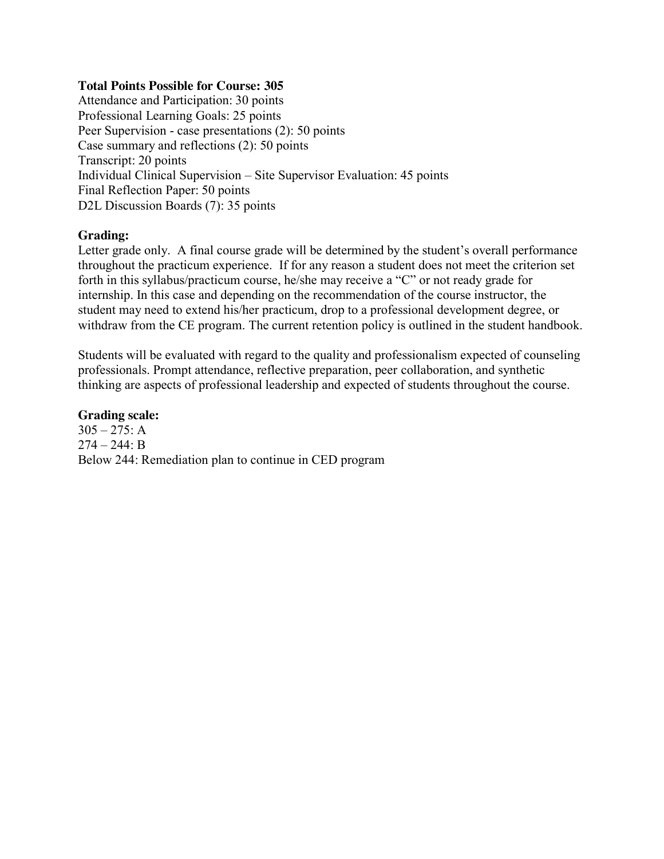#### **Total Points Possible for Course: 305**

Attendance and Participation: 30 points Professional Learning Goals: 25 points Peer Supervision - case presentations (2): 50 points Case summary and reflections (2): 50 points Transcript: 20 points Individual Clinical Supervision – Site Supervisor Evaluation: 45 points Final Reflection Paper: 50 points D2L Discussion Boards (7): 35 points

### **Grading:**

Letter grade only. A final course grade will be determined by the student's overall performance throughout the practicum experience. If for any reason a student does not meet the criterion set forth in this syllabus/practicum course, he/she may receive a "C" or not ready grade for internship. In this case and depending on the recommendation of the course instructor, the student may need to extend his/her practicum, drop to a professional development degree, or withdraw from the CE program. The current retention policy is outlined in the student handbook.

Students will be evaluated with regard to the quality and professionalism expected of counseling professionals. Prompt attendance, reflective preparation, peer collaboration, and synthetic thinking are aspects of professional leadership and expected of students throughout the course.

#### **Grading scale:**

 $305 - 275$ : A  $274 - 244$ : B Below 244: Remediation plan to continue in CED program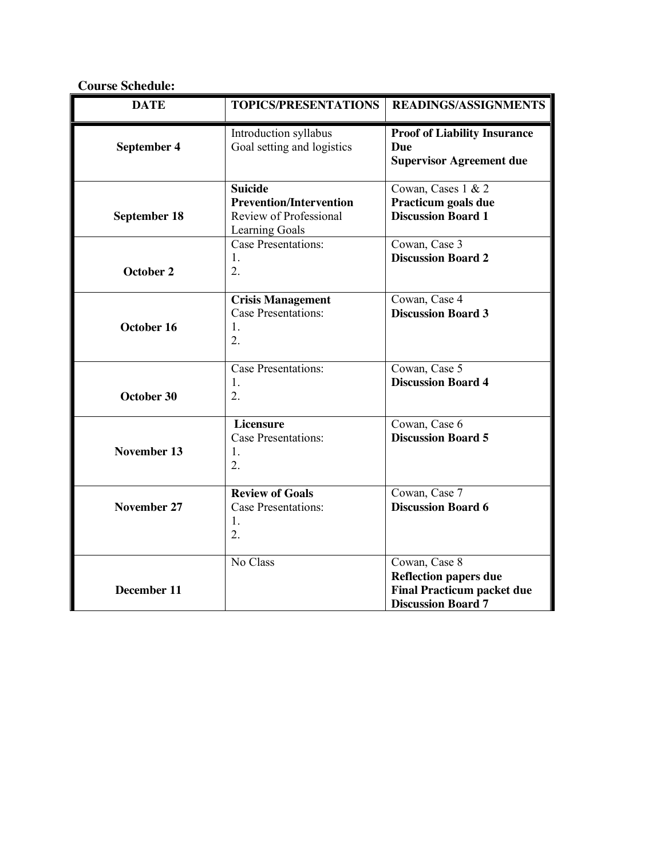**Course Schedule:**

| <b>DATE</b>         | <b>TOPICS/PRESENTATIONS</b>                                                                  | <b>READINGS/ASSIGNMENTS</b>                                                                                     |
|---------------------|----------------------------------------------------------------------------------------------|-----------------------------------------------------------------------------------------------------------------|
| September 4         | Introduction syllabus<br>Goal setting and logistics                                          | <b>Proof of Liability Insurance</b><br>Due<br><b>Supervisor Agreement due</b>                                   |
| <b>September 18</b> | <b>Suicide</b><br><b>Prevention/Intervention</b><br>Review of Professional<br>Learning Goals | Cowan, Cases 1 & 2<br>Practicum goals due<br><b>Discussion Board 1</b>                                          |
| October 2           | <b>Case Presentations:</b><br>1.<br>$\overline{2}$ .                                         | Cowan, Case 3<br><b>Discussion Board 2</b>                                                                      |
| October 16          | <b>Crisis Management</b><br><b>Case Presentations:</b><br>1.<br>$\overline{2}$ .             | Cowan, Case 4<br><b>Discussion Board 3</b>                                                                      |
| October 30          | Case Presentations:<br>1.<br>2.                                                              | Cowan, Case 5<br><b>Discussion Board 4</b>                                                                      |
| November 13         | Licensure<br><b>Case Presentations:</b><br>1.<br>2.                                          | Cowan, Case 6<br><b>Discussion Board 5</b>                                                                      |
| November 27         | <b>Review of Goals</b><br><b>Case Presentations:</b><br>1.<br>2.                             | Cowan, Case 7<br><b>Discussion Board 6</b>                                                                      |
| <b>December 11</b>  | No Class                                                                                     | Cowan, Case 8<br><b>Reflection papers due</b><br><b>Final Practicum packet due</b><br><b>Discussion Board 7</b> |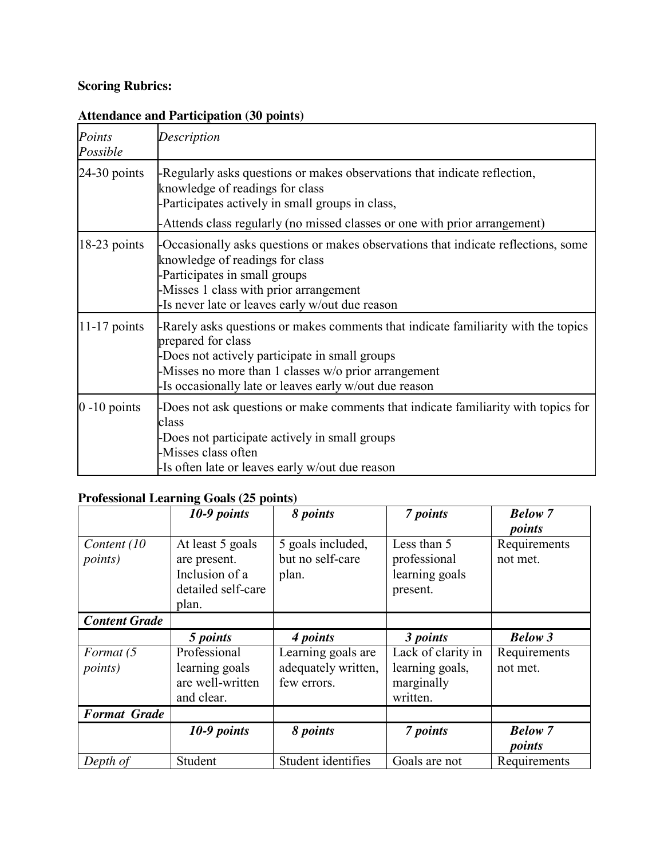# **Scoring Rubrics:**

# **Attendance and Participation (30 points)**

| Points<br>Possible | Description                                                                                                                                                                                                                                                                |
|--------------------|----------------------------------------------------------------------------------------------------------------------------------------------------------------------------------------------------------------------------------------------------------------------------|
| $24-30$ points     | -Regularly asks questions or makes observations that indicate reflection,<br>knowledge of readings for class<br>-Participates actively in small groups in class,                                                                                                           |
|                    | -Attends class regularly (no missed classes or one with prior arrangement)                                                                                                                                                                                                 |
| $18-23$ points     | -Occasionally asks questions or makes observations that indicate reflections, some<br>knowledge of readings for class<br>-Participates in small groups<br>-Misses 1 class with prior arrangement<br>Is never late or leaves early w/out due reason                         |
| $11-17$ points     | -Rarely asks questions or makes comments that indicate familiarity with the topics<br>prepared for class<br>-Does not actively participate in small groups<br>Misses no more than 1 classes w/o prior arrangement<br>Is occasionally late or leaves early w/out due reason |
| $0 - 10$ points    | -Does not ask questions or make comments that indicate familiarity with topics for<br>class<br>-Does not participate actively in small groups<br>-Misses class often<br>-Is often late or leaves early w/out due reason                                                    |

# **Professional Learning Goals (25 points)**

|                      | 10-9 points        | 8 points            | 7 points           | <b>Below</b> 7 |
|----------------------|--------------------|---------------------|--------------------|----------------|
|                      |                    |                     |                    | points         |
| Content (10)         | At least 5 goals   | 5 goals included,   | Less than 5        | Requirements   |
| <i>points</i> )      | are present.       | but no self-care    | professional       | not met.       |
|                      | Inclusion of a     | plan.               | learning goals     |                |
|                      | detailed self-care |                     | present.           |                |
|                      | plan.              |                     |                    |                |
| <b>Content Grade</b> |                    |                     |                    |                |
|                      | 5 points           | 4 points            | 3 points           | <b>Below 3</b> |
| Format (5            | Professional       | Learning goals are  | Lack of clarity in | Requirements   |
| <i>points</i> )      | learning goals     | adequately written, | learning goals,    | not met.       |
|                      | are well-written   | few errors.         | marginally         |                |
|                      | and clear.         |                     | written.           |                |
|                      |                    |                     |                    |                |
| <b>Format Grade</b>  |                    |                     |                    |                |
|                      | 10-9 points        | 8 points            | 7 points           | <b>Below</b> 7 |
|                      |                    |                     |                    | points         |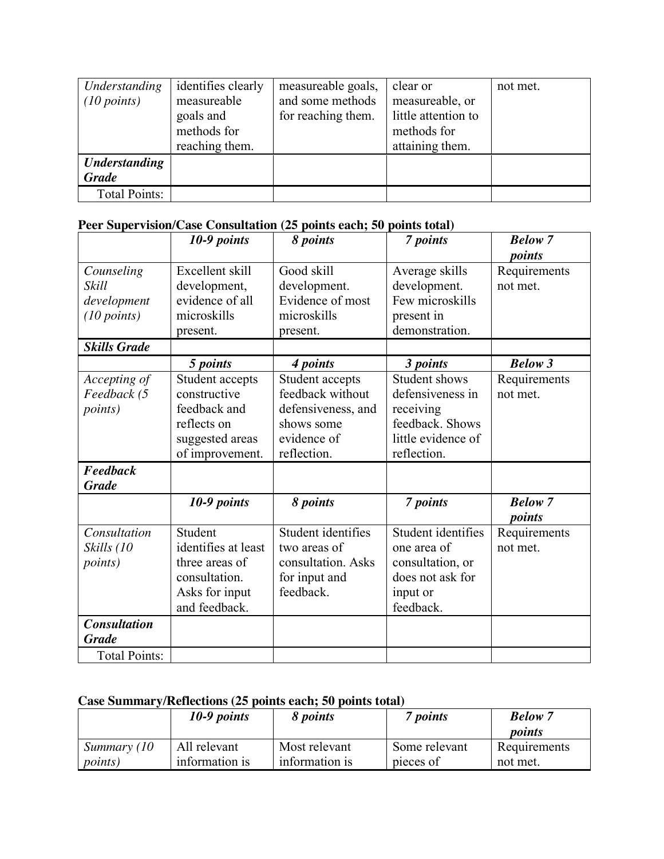| Understanding<br>$(10 \text{ points})$ | identifies clearly<br>measureable<br>goals and<br>methods for<br>reaching them. | measureable goals,<br>and some methods<br>for reaching them. | clear or<br>measureable, or<br>little attention to<br>methods for<br>attaining them. | not met. |
|----------------------------------------|---------------------------------------------------------------------------------|--------------------------------------------------------------|--------------------------------------------------------------------------------------|----------|
| <b>Understanding</b><br><b>Grade</b>   |                                                                                 |                                                              |                                                                                      |          |
|                                        |                                                                                 |                                                              |                                                                                      |          |
| Total Points:                          |                                                                                 |                                                              |                                                                                      |          |

# **Peer Supervision/Case Consultation (25 points each; 50 points total)**

|                      | 10-9 points         | 8 points           | 7 points           | <b>Below</b> 7 |
|----------------------|---------------------|--------------------|--------------------|----------------|
|                      |                     |                    |                    | points         |
| Counseling           | Excellent skill     | Good skill         | Average skills     | Requirements   |
| Skill                | development,        | development.       | development.       | not met.       |
| development          | evidence of all     | Evidence of most   | Few microskills    |                |
| (10 points)          | microskills         | microskills        | present in         |                |
|                      | present.            | present.           | demonstration.     |                |
| <b>Skills Grade</b>  |                     |                    |                    |                |
|                      | 5 points            | 4 points           | 3 points           | <b>Below 3</b> |
| Accepting of         | Student accepts     | Student accepts    | Student shows      | Requirements   |
| Feedback (5          | constructive        | feedback without   | defensiveness in   | not met.       |
| <i>points</i> )      | feedback and        | defensiveness, and | receiving          |                |
|                      | reflects on         | shows some         | feedback. Shows    |                |
|                      | suggested areas     | evidence of        | little evidence of |                |
|                      | of improvement.     | reflection.        | reflection.        |                |
| Feedback             |                     |                    |                    |                |
| <b>Grade</b>         |                     |                    |                    |                |
|                      | 10-9 points         | 8 points           | 7 points           | <b>Below</b> 7 |
|                      |                     |                    |                    | points         |
| Consultation         | Student             | Student identifies | Student identifies | Requirements   |
| Skills (10           | identifies at least | two areas of       | one area of        | not met.       |
| <i>points</i> )      | three areas of      | consultation. Asks | consultation, or   |                |
|                      | consultation.       | for input and      | does not ask for   |                |
|                      | Asks for input      | feedback.          | input or           |                |
|                      | and feedback.       |                    | feedback.          |                |
| <b>Consultation</b>  |                     |                    |                    |                |
| <b>Grade</b>         |                     |                    |                    |                |
| <b>Total Points:</b> |                     |                    |                    |                |

# **Case Summary/Reflections (25 points each; 50 points total)**

|                 | $10-9$ points  | 8 <i>points</i> | 7 points      | <b>Below</b> 7<br>points |
|-----------------|----------------|-----------------|---------------|--------------------------|
| Summary (10)    | All relevant   | Most relevant   | Some relevant | Requirements             |
| <i>points</i> ) | information is | information is  | pieces of     | not met.                 |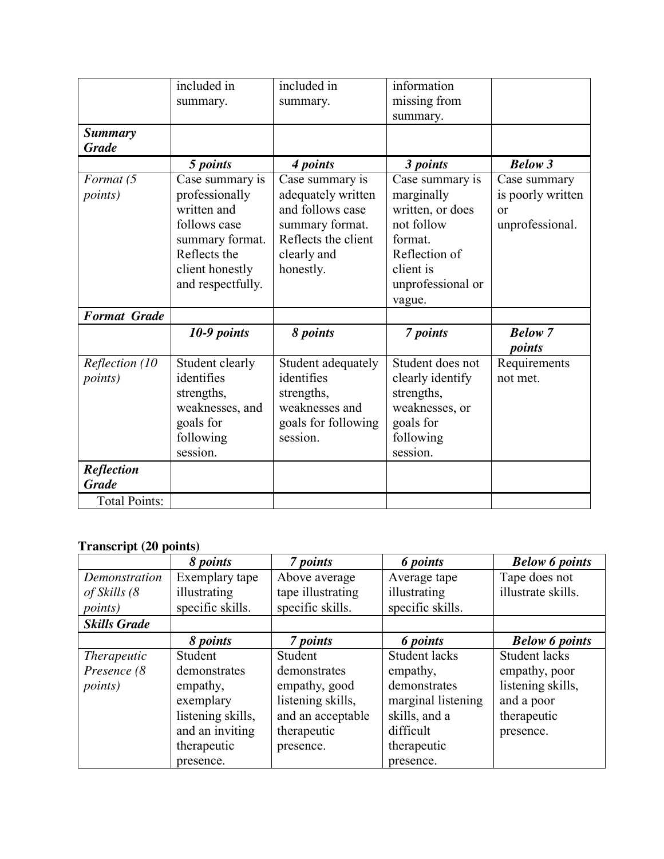|                                   | included in<br>summary.                                                                                                                     | included in<br>summary.                                                                                                         | information<br>missing from<br>summary.                                                                                                 |                                                                  |
|-----------------------------------|---------------------------------------------------------------------------------------------------------------------------------------------|---------------------------------------------------------------------------------------------------------------------------------|-----------------------------------------------------------------------------------------------------------------------------------------|------------------------------------------------------------------|
| <b>Summary</b><br><b>Grade</b>    |                                                                                                                                             |                                                                                                                                 |                                                                                                                                         |                                                                  |
|                                   | 5 points                                                                                                                                    | 4 points                                                                                                                        | 3 points                                                                                                                                | <b>Below 3</b>                                                   |
| Format (5<br><i>points</i> )      | Case summary is<br>professionally<br>written and<br>follows case<br>summary format.<br>Reflects the<br>client honestly<br>and respectfully. | Case summary is<br>adequately written<br>and follows case<br>summary format.<br>Reflects the client<br>clearly and<br>honestly. | Case summary is<br>marginally<br>written, or does<br>not follow<br>format.<br>Reflection of<br>client is<br>unprofessional or<br>vague. | Case summary<br>is poorly written<br>$\alpha$<br>unprofessional. |
| <b>Format Grade</b>               |                                                                                                                                             |                                                                                                                                 |                                                                                                                                         |                                                                  |
|                                   | 10-9 points                                                                                                                                 | 8 points                                                                                                                        | 7 points                                                                                                                                | <b>Below</b> 7<br>points                                         |
| Reflection (10<br><i>points</i> ) | Student clearly<br>identifies<br>strengths,<br>weaknesses, and<br>goals for<br>following<br>session.                                        | Student adequately<br>identifies<br>strengths,<br>weaknesses and<br>goals for following<br>session.                             | Student does not<br>clearly identify<br>strengths,<br>weaknesses, or<br>goals for<br>following<br>session.                              | Requirements<br>not met.                                         |
| <b>Reflection</b>                 |                                                                                                                                             |                                                                                                                                 |                                                                                                                                         |                                                                  |
| <b>Grade</b>                      |                                                                                                                                             |                                                                                                                                 |                                                                                                                                         |                                                                  |
| Total Points:                     |                                                                                                                                             |                                                                                                                                 |                                                                                                                                         |                                                                  |

# **Transcript (20 points)**

|                     | 8 points          | 7 points          | 6 points             | <b>Below 6 points</b> |
|---------------------|-------------------|-------------------|----------------------|-----------------------|
| Demonstration       | Exemplary tape    | Above average     | Average tape         | Tape does not         |
| of Skills (8        | illustrating      | tape illustrating | illustrating         | illustrate skills.    |
| <i>points</i> )     | specific skills.  | specific skills.  | specific skills.     |                       |
| <b>Skills Grade</b> |                   |                   |                      |                       |
|                     | 8 points          | 7 points          | 6 points             | <b>Below 6 points</b> |
| <i>Therapeutic</i>  | Student           | Student           | <b>Student lacks</b> | <b>Student lacks</b>  |
| Presence (8         | demonstrates      | demonstrates      | empathy,             | empathy, poor         |
| <i>points</i> )     | empathy,          | empathy, good     | demonstrates         | listening skills,     |
|                     | exemplary         | listening skills, | marginal listening   | and a poor            |
|                     | listening skills, | and an acceptable | skills, and a        | therapeutic           |
|                     | and an inviting   | therapeutic       | difficult            | presence.             |
|                     | therapeutic       | presence.         | therapeutic          |                       |
|                     | presence.         |                   | presence.            |                       |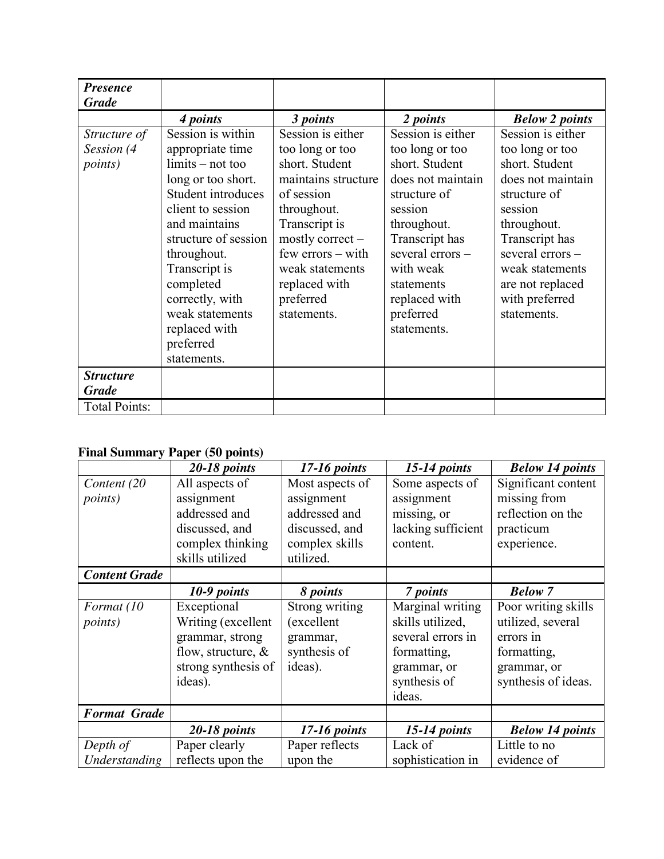| <b>Presence</b>                               |                                                                                                                                                                                        |                                                                                                                                                                            |                                                                                                                                                             |                                                                                                                                                             |
|-----------------------------------------------|----------------------------------------------------------------------------------------------------------------------------------------------------------------------------------------|----------------------------------------------------------------------------------------------------------------------------------------------------------------------------|-------------------------------------------------------------------------------------------------------------------------------------------------------------|-------------------------------------------------------------------------------------------------------------------------------------------------------------|
| <b>Grade</b>                                  |                                                                                                                                                                                        |                                                                                                                                                                            |                                                                                                                                                             |                                                                                                                                                             |
|                                               | 4 points                                                                                                                                                                               | 3 points                                                                                                                                                                   | 2 points                                                                                                                                                    | <b>Below 2 points</b>                                                                                                                                       |
| Structure of<br>Session (4<br><i>points</i> ) | Session is within<br>appropriate time<br>$\lim$ its – not too<br>long or too short.<br>Student introduces<br>client to session<br>and maintains<br>structure of session<br>throughout. | Session is either<br>too long or too<br>short. Student<br>maintains structure<br>of session<br>throughout.<br>Transcript is<br>mostly correct $-$<br>$few$ errors $-$ with | Session is either<br>too long or too<br>short. Student<br>does not maintain<br>structure of<br>session<br>throughout.<br>Transcript has<br>several errors - | Session is either<br>too long or too<br>short. Student<br>does not maintain<br>structure of<br>session<br>throughout.<br>Transcript has<br>several errors - |
|                                               | Transcript is<br>completed<br>correctly, with<br>weak statements<br>replaced with<br>preferred<br>statements.                                                                          | weak statements<br>replaced with<br>preferred<br>statements.                                                                                                               | with weak<br>statements<br>replaced with<br>preferred<br>statements.                                                                                        | weak statements<br>are not replaced<br>with preferred<br>statements.                                                                                        |
| <b>Structure</b><br><b>Grade</b>              |                                                                                                                                                                                        |                                                                                                                                                                            |                                                                                                                                                             |                                                                                                                                                             |
| <b>Total Points:</b>                          |                                                                                                                                                                                        |                                                                                                                                                                            |                                                                                                                                                             |                                                                                                                                                             |

# **Final Summary Paper (50 points)**

|                      | 20-18 points          | $17-16$ points  | $15-14$ points     | <b>Below 14 points</b> |
|----------------------|-----------------------|-----------------|--------------------|------------------------|
| Content (20          | All aspects of        | Most aspects of | Some aspects of    | Significant content    |
| <i>points</i> )      | assignment            | assignment      | assignment         | missing from           |
|                      | addressed and         | addressed and   | missing, or        | reflection on the      |
|                      | discussed, and        | discussed, and  | lacking sufficient | practicum              |
|                      | complex thinking      | complex skills  | content.           | experience.            |
|                      | skills utilized       | utilized.       |                    |                        |
| <b>Content Grade</b> |                       |                 |                    |                        |
|                      | 10-9 points           | 8 points        | 7 points           | <b>Below</b> 7         |
| Format (10           | Exceptional           | Strong writing  | Marginal writing   | Poor writing skills    |
| <i>points</i> )      | Writing (excellent    | (excellent      | skills utilized,   | utilized, several      |
|                      | grammar, strong       | grammar,        | several errors in  | errors in              |
|                      | flow, structure, $\&$ | synthesis of    | formatting,        | formatting,            |
|                      | strong synthesis of   | ideas).         | grammar, or        | grammar, or            |
|                      | ideas).               |                 | synthesis of       | synthesis of ideas.    |
|                      |                       |                 | ideas.             |                        |
| <b>Format Grade</b>  |                       |                 |                    |                        |
|                      | 20-18 points          | 17-16 points    | $15-14$ points     | <b>Below 14 points</b> |
| Depth of             | Paper clearly         | Paper reflects  | Lack of            | Little to no           |
| Understanding        | reflects upon the     | upon the        | sophistication in  | evidence of            |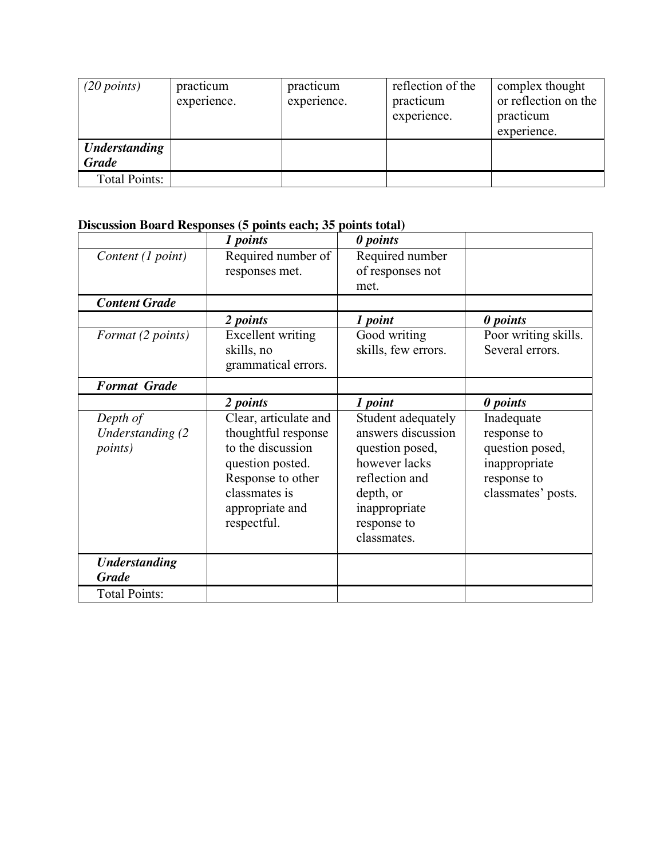| (20 points)          | practicum<br>experience. | practicum<br>experience. | reflection of the<br>practicum<br>experience. | complex thought<br>or reflection on the<br>practicum<br>experience. |
|----------------------|--------------------------|--------------------------|-----------------------------------------------|---------------------------------------------------------------------|
| <b>Understanding</b> |                          |                          |                                               |                                                                     |
| <b>Grade</b>         |                          |                          |                                               |                                                                     |
| Total Points:        |                          |                          |                                               |                                                                     |

# **Discussion Board Responses (5 points each; 35 points total)**

|                                                         | 1 points                                                                                                                                                      | 0 points                                                                                                                                                   |                                                                                                    |
|---------------------------------------------------------|---------------------------------------------------------------------------------------------------------------------------------------------------------------|------------------------------------------------------------------------------------------------------------------------------------------------------------|----------------------------------------------------------------------------------------------------|
| Content (1 point)                                       | Required number of<br>responses met.                                                                                                                          | Required number<br>of responses not<br>met.                                                                                                                |                                                                                                    |
| <b>Content Grade</b>                                    |                                                                                                                                                               |                                                                                                                                                            |                                                                                                    |
| Format (2 points)                                       | 2 points<br><b>Excellent</b> writing<br>skills, no<br>grammatical errors.                                                                                     | 1 point<br>Good writing<br>skills, few errors.                                                                                                             | 0 points<br>Poor writing skills.<br>Several errors.                                                |
| <b>Format Grade</b>                                     |                                                                                                                                                               |                                                                                                                                                            |                                                                                                    |
|                                                         | 2 points                                                                                                                                                      | 1 point                                                                                                                                                    | 0 points                                                                                           |
| Depth of<br><b>Understanding (2)</b><br><i>points</i> ) | Clear, articulate and<br>thoughtful response<br>to the discussion<br>question posted.<br>Response to other<br>classmates is<br>appropriate and<br>respectful. | Student adequately<br>answers discussion<br>question posed,<br>however lacks<br>reflection and<br>depth, or<br>inappropriate<br>response to<br>classmates. | Inadequate<br>response to<br>question posed,<br>inappropriate<br>response to<br>classmates' posts. |
| <b>Understanding</b><br><b>Grade</b>                    |                                                                                                                                                               |                                                                                                                                                            |                                                                                                    |
| <b>Total Points:</b>                                    |                                                                                                                                                               |                                                                                                                                                            |                                                                                                    |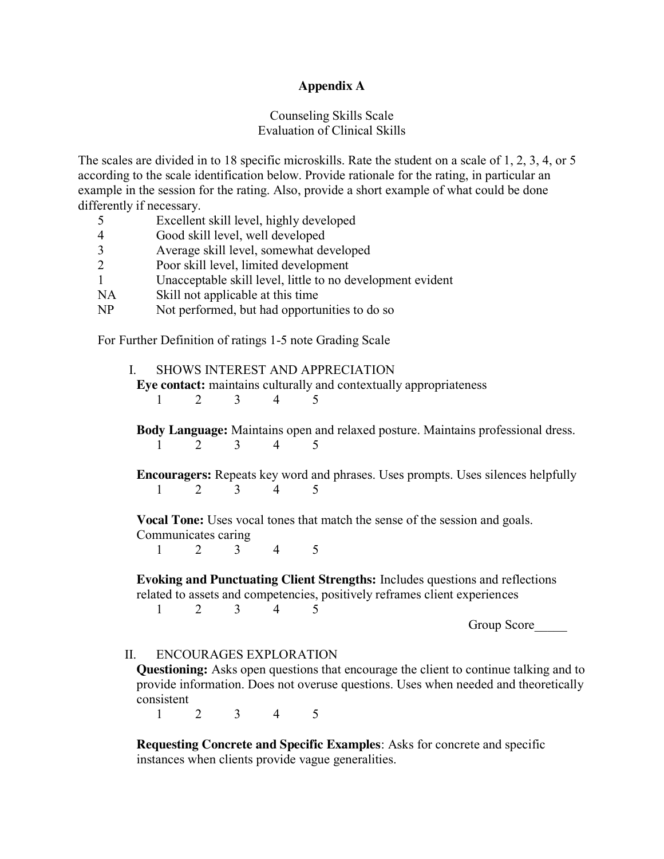### **Appendix A**

## Counseling Skills Scale Evaluation of Clinical Skills

The scales are divided in to 18 specific microskills. Rate the student on a scale of 1, 2, 3, 4, or 5 according to the scale identification below. Provide rationale for the rating, in particular an example in the session for the rating. Also, provide a short example of what could be done differently if necessary.

|                                                          |           | Excellent skill level, highly developed                    |  |  |
|----------------------------------------------------------|-----------|------------------------------------------------------------|--|--|
|                                                          |           | Good skill level, well developed                           |  |  |
|                                                          | 3         | Average skill level, somewhat developed                    |  |  |
|                                                          | 2         | Poor skill level, limited development                      |  |  |
|                                                          |           | Unacceptable skill level, little to no development evident |  |  |
|                                                          | <b>NA</b> | Skill not applicable at this time                          |  |  |
|                                                          | NP        | Not performed, but had opportunities to do so              |  |  |
|                                                          |           |                                                            |  |  |
| For Further Definition of ratings 1-5 note Grading Scale |           |                                                            |  |  |
|                                                          |           |                                                            |  |  |

|                                                                                                                                                            | SHOWS INTEREST AND APPRECIATION<br>Eye contact: maintains culturally and contextually appropriateness |                               |                             |                |                                                                                        |  |  |  |
|------------------------------------------------------------------------------------------------------------------------------------------------------------|-------------------------------------------------------------------------------------------------------|-------------------------------|-----------------------------|----------------|----------------------------------------------------------------------------------------|--|--|--|
|                                                                                                                                                            | $\mathbf{I}$                                                                                          | $\overline{2}$                |                             | $3 \quad 4$    | $\overline{\mathcal{L}}$                                                               |  |  |  |
|                                                                                                                                                            |                                                                                                       |                               |                             |                |                                                                                        |  |  |  |
|                                                                                                                                                            | <b>Body Language:</b> Maintains open and relaxed posture. Maintains professional dress.               |                               |                             |                |                                                                                        |  |  |  |
|                                                                                                                                                            | 1                                                                                                     | $\overline{2}$                | $\overline{3}$              | $\overline{4}$ |                                                                                        |  |  |  |
|                                                                                                                                                            | Encouragers: Repeats key word and phrases. Uses prompts. Uses silences helpfully                      |                               |                             |                |                                                                                        |  |  |  |
|                                                                                                                                                            | 1                                                                                                     |                               | $2 \quad 3 \quad 4 \quad 5$ |                |                                                                                        |  |  |  |
| Vocal Tone: Uses vocal tones that match the sense of the session and goals.<br>Communicates caring                                                         |                                                                                                       |                               |                             |                |                                                                                        |  |  |  |
|                                                                                                                                                            | $\mathbf{1}$                                                                                          |                               | 2 3 4                       |                | -5                                                                                     |  |  |  |
| Evoking and Punctuating Client Strengths: Includes questions and reflections<br>related to assets and competencies, positively reframes client experiences |                                                                                                       |                               |                             |                |                                                                                        |  |  |  |
|                                                                                                                                                            | $1 \quad$                                                                                             |                               | 2 3                         | $\overline{4}$ | $\overline{\mathcal{L}}$                                                               |  |  |  |
|                                                                                                                                                            |                                                                                                       |                               |                             |                | Group Score                                                                            |  |  |  |
| II. –                                                                                                                                                      |                                                                                                       | <b>ENCOURAGES EXPLORATION</b> |                             |                | Questioning A also apap questions that appearing the alient to continue tolling and to |  |  |  |

**Questioning:** Asks open questions that encourage the client to continue talking and to provide information. Does not overuse questions. Uses when needed and theoretically consistent

1 2 3 4 5

**Requesting Concrete and Specific Examples**: Asks for concrete and specific instances when clients provide vague generalities.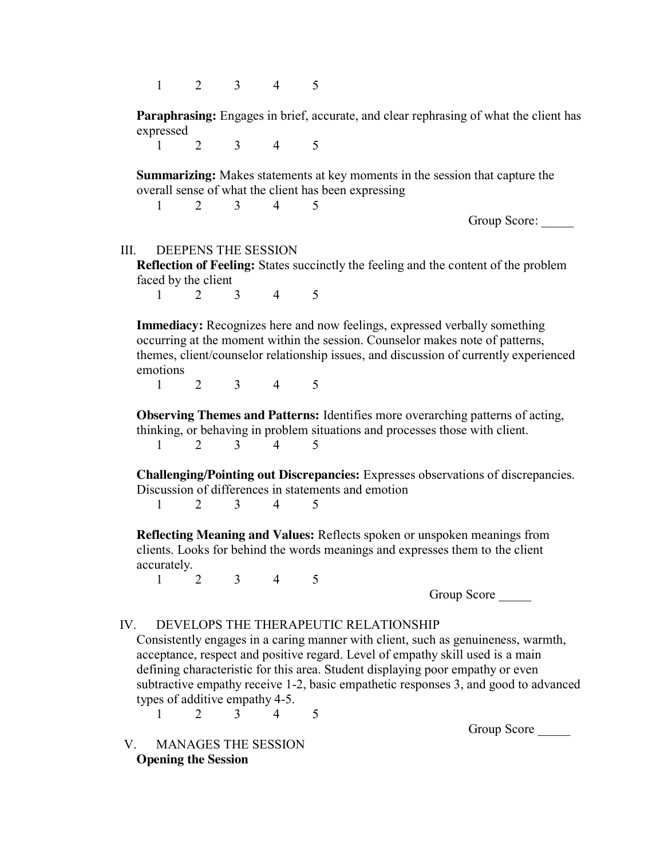1 2 3 4 5

**Paraphrasing:** Engages in brief, accurate, and clear rephrasing of what the client has expressed

1 2 3 4 5

**Summarizing:** Makes statements at key moments in the session that capture the overall sense of what the client has been expressing

1 2 3 4 5

Group Score:

### III. DEEPENS THE SESSION

**Reflection of Feeling:** States succinctly the feeling and the content of the problem faced by the client

1 2 3 4 5

**Immediacy:** Recognizes here and now feelings, expressed verbally something occurring at the moment within the session. Counselor makes note of patterns, themes, client/counselor relationship issues, and discussion of currently experienced emotions

1 2 3 4 5

**Observing Themes and Patterns:** Identifies more overarching patterns of acting, thinking, or behaving in problem situations and processes those with client. 1 2 3 4 5

**Challenging/Pointing out Discrepancies:** Expresses observations of discrepancies. Discussion of differences in statements and emotion

1 2 3 4 5

**Reflecting Meaning and Values:** Reflects spoken or unspoken meanings from clients. Looks for behind the words meanings and expresses them to the client accurately.

1 2 3 4 5

Group Score

#### IV. DEVELOPS THE THERAPEUTIC RELATIONSHIP

Consistently engages in a caring manner with client, such as genuineness, warmth, acceptance, respect and positive regard. Level of empathy skill used is a main defining characteristic for this area. Student displaying poor empathy or even subtractive empathy receive 1-2, basic empathetic responses 3, and good to advanced types of additive empathy 4-5.

1 2 3 4 5

Group Score

## V. MANAGES THE SESSION **Opening the Session**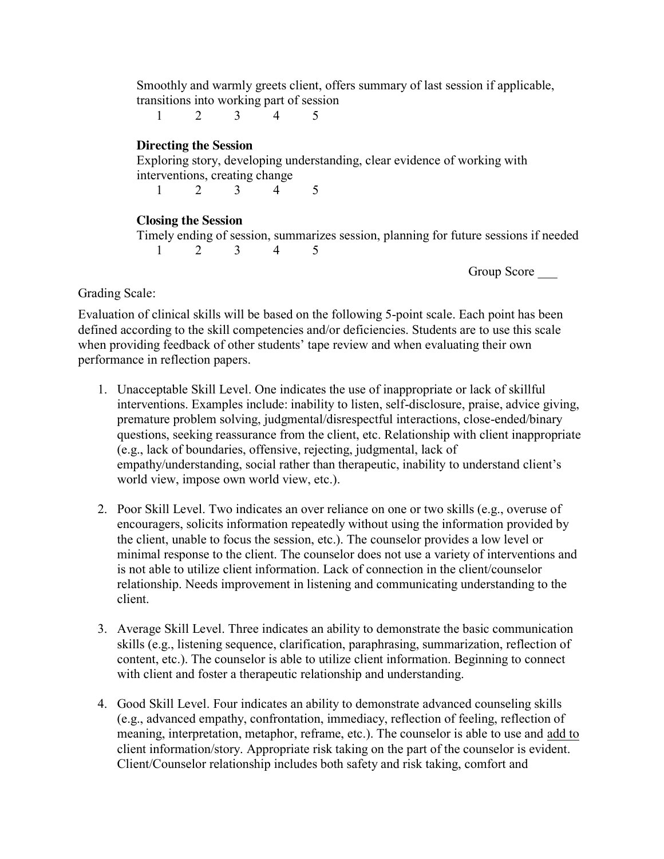Smoothly and warmly greets client, offers summary of last session if applicable, transitions into working part of session

1 2 3 4 5

# **Directing the Session**

Exploring story, developing understanding, clear evidence of working with interventions, creating change

1 2 3 4 5

# **Closing the Session**

Timely ending of session, summarizes session, planning for future sessions if needed 1 2 3 4 5

Group Score

Grading Scale:

Evaluation of clinical skills will be based on the following 5-point scale. Each point has been defined according to the skill competencies and/or deficiencies. Students are to use this scale when providing feedback of other students' tape review and when evaluating their own performance in reflection papers.

- 1. Unacceptable Skill Level. One indicates the use of inappropriate or lack of skillful interventions. Examples include: inability to listen, self-disclosure, praise, advice giving, premature problem solving, judgmental/disrespectful interactions, close-ended/binary questions, seeking reassurance from the client, etc. Relationship with client inappropriate (e.g., lack of boundaries, offensive, rejecting, judgmental, lack of empathy/understanding, social rather than therapeutic, inability to understand client's world view, impose own world view, etc.).
- 2. Poor Skill Level. Two indicates an over reliance on one or two skills (e.g., overuse of encouragers, solicits information repeatedly without using the information provided by the client, unable to focus the session, etc.). The counselor provides a low level or minimal response to the client. The counselor does not use a variety of interventions and is not able to utilize client information. Lack of connection in the client/counselor relationship. Needs improvement in listening and communicating understanding to the client.
- 3. Average Skill Level. Three indicates an ability to demonstrate the basic communication skills (e.g., listening sequence, clarification, paraphrasing, summarization, reflection of content, etc.). The counselor is able to utilize client information. Beginning to connect with client and foster a therapeutic relationship and understanding.
- 4. Good Skill Level. Four indicates an ability to demonstrate advanced counseling skills (e.g., advanced empathy, confrontation, immediacy, reflection of feeling, reflection of meaning, interpretation, metaphor, reframe, etc.). The counselor is able to use and add to client information/story. Appropriate risk taking on the part of the counselor is evident. Client/Counselor relationship includes both safety and risk taking, comfort and